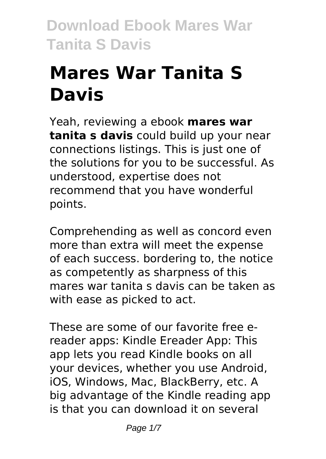# **Mares War Tanita S Davis**

Yeah, reviewing a ebook **mares war tanita s davis** could build up your near connections listings. This is just one of the solutions for you to be successful. As understood, expertise does not recommend that you have wonderful points.

Comprehending as well as concord even more than extra will meet the expense of each success. bordering to, the notice as competently as sharpness of this mares war tanita s davis can be taken as with ease as picked to act.

These are some of our favorite free ereader apps: Kindle Ereader App: This app lets you read Kindle books on all your devices, whether you use Android, iOS, Windows, Mac, BlackBerry, etc. A big advantage of the Kindle reading app is that you can download it on several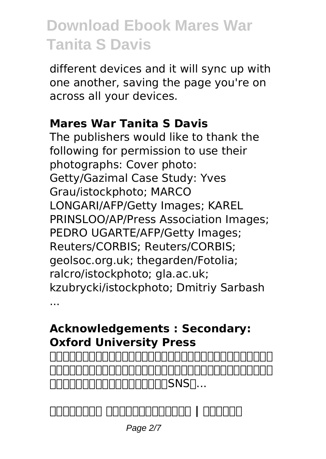different devices and it will sync up with one another, saving the page you're on across all your devices.

#### **Mares War Tanita S Davis**

The publishers would like to thank the following for permission to use their photographs: Cover photo: Getty/Gazimal Case Study: Yves Grau/istockphoto; MARCO LONGARI/AFP/Getty Images; KAREL PRINSLOO/AP/Press Association Images; PEDRO UGARTE/AFP/Getty Images; Reuters/CORBIS; Reuters/CORBIS; geolsoc.org.uk; thegarden/Fotolia; ralcro/istockphoto; gla.ac.uk; kzubrycki/istockphoto; Dmitriy Sarbash ...

#### **Acknowledgements : Secondary: Oxford University Press**



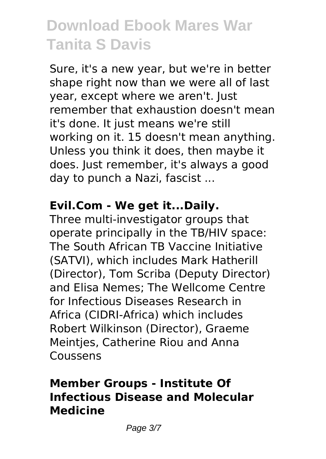Sure, it's a new year, but we're in better shape right now than we were all of last year, except where we aren't. Just remember that exhaustion doesn't mean it's done. It just means we're still working on it. 15 doesn't mean anything. Unless you think it does, then maybe it does. Just remember, it's always a good day to punch a Nazi, fascist ...

#### **Evil.Com - We get it...Daily.**

Three multi-investigator groups that operate principally in the TB/HIV space: The South African TB Vaccine Initiative (SATVI), which includes Mark Hatherill (Director), Tom Scriba (Deputy Director) and Elisa Nemes; The Wellcome Centre for Infectious Diseases Research in Africa (CIDRI-Africa) which includes Robert Wilkinson (Director), Graeme Meintjes, Catherine Riou and Anna Coussens

#### **Member Groups - Institute Of Infectious Disease and Molecular Medicine**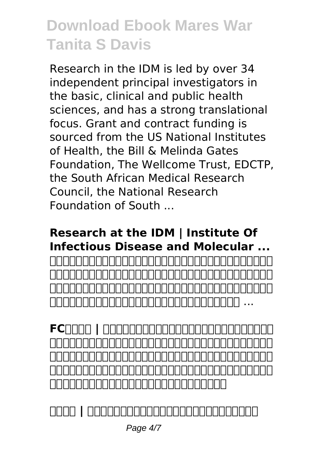Research in the IDM is led by over 34 independent principal investigators in the basic, clinical and public health sciences, and has a strong translational focus. Grant and contract funding is sourced from the US National Institutes of Health, the Bill & Melinda Gates Foundation, The Wellcome Trust, EDCTP, the South African Medical Research Council, the National Research Foundation of South ...

#### **Research at the IDM | Institute Of Infectious Disease and Molecular ...**

| <u> ANNANANANANANANANANANANANANANAN </u> |  |
|------------------------------------------|--|

FCNNNA | NANANANANANANANA <u>ooooooooooooooooooooooooooooo</u>o ・ベッド・マットレス・ダイニング・食器棚・インテリア雑貨・ペルシャ絨 毯・ギャッベ取り揃えております。傷もの・展示品・試作品・旧型品・過剰 在庫の処分品などの「新品訳あり」の良い商品がより安く!

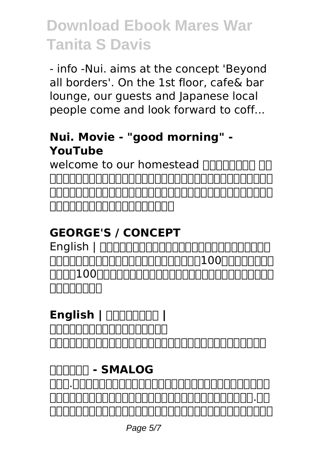- info -Nui. aims at the concept 'Beyond all borders'. On the 1st floor, cafe& bar lounge, our guests and Japanese local people come and look forward to coff...

#### **Nui. Movie - "good morning" - YouTube**

welcome to our homestead  $\Pi\Pi\Pi$ <u>La Ele Ele Charles e La Ele Charles e la F</u> 貨、インテリア雑貨から、アパレル、ギフトまで、こころを豊かにしてくれ る暮らしの日用品をとりそろえています。

### **GEORGE'S / CONCEPT**

English | <u>componentational oor September 100 versions to the set of the set of the set of the set of the set of the set </u> <u>nnnn100nnnnnnnnnnnnnnnnnnnnnn</u> <u>annonan</u>

### **English | <u>חחחחחח</u></u> |**

**ゴルフシャフト・リシャフトのフジクラ** 鍵付き掲示板はパスワードを知っている人同士で会話をする掲示板です。

### **鍵付き掲示板 - SMALOG**

ティー.ティーコーポレーションの採用情報ページです。「営業力は、最強 のチカラ。」をコンセプトに採用に関する社員インタビューやティー.ティ ーコーポレーションでの働き方、会社に関する情報を掲載しています。是非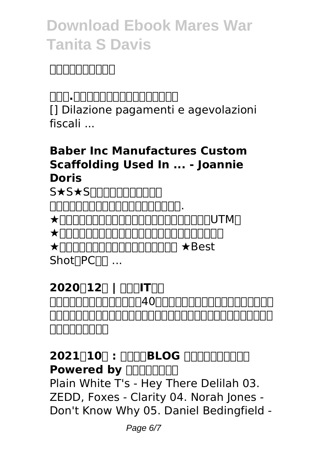### エントリーください。

#### **ティー.ティーコーポレーション採用サイト**

[] Dilazione pagamenti e agevolazioni fiscali ...

#### **Baber Inc Manufactures Custom Scaffolding Used In ... - Joannie Doris**

S★S★SΠΠΠΠΠΠΠΠΠΠ <u>runnnnnnnnnnnnnn.</u>  $\star$ חתחתחתחתחתחתחתחתחתחת ★安心マイアップ(自動バックアップファイルサーバー)  $\star$  **THE THE THE TERM**  $\star$  Best Shot<sub>(PCOD</sub> ...

**2020121 | FITHETHE** 元客室乗務員で主婦のあたし。40歳を超え、恥ずかしいなんて感覚を失っ <u>へいへいへいへいへいへいへいへいへいへいへいへいへいへいいいへいいい。まずはははながらもももものです。まずはははながらないのからははなかってはなかっとならないようなかっとなるようなかっとなるようなかっとなるようなかっとなるようなかっとなっとなっています。も</u> 日日日日日日

**2021010 : 0008LOG BLOG AND Powered by FIFINATION** Plain White T's - Hey There Delilah 03. ZEDD, Foxes - Clarity 04. Norah Jones - Don't Know Why 05. Daniel Bedingfield -